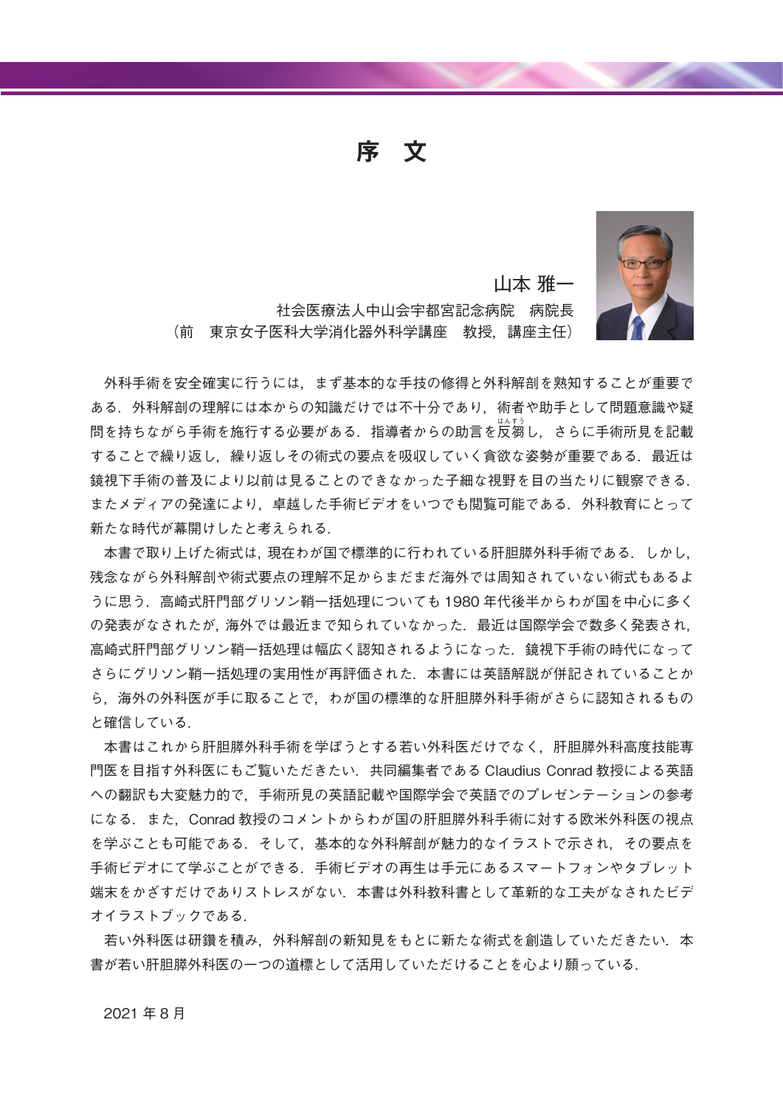**文 序**



山本 雅一

社会医療法人中山会宇都宮記念病院 病院長 (前 東京女子医科大学消化器外科学講座 教授,講座主任)

外科手術を安全確実に行うには、まず基本的な手技の修得と外科解剖を熟知することが重要で ある. 外科解剖の理解には本からの知識だけでは不十分であり. 術者や助手として問題意識や疑 問を持ちながら手術を施行する必要がある.指導者からの助言を反芻し,さらに手術所見を記載 することで繰り返し. 繰り返しその術式の要点を吸収していく貪欲な姿勢が重要である. 最近は .鏡視下手術の普及により以前は見ることのできなかった子細な視野を目の当たりに観察できる またメディアの発達により,卓越した手術ビデオをいつでも閲覧可能である.外科教育にとって 新たな時代が幕開けしたと考えられる.

本書で取り上げた術式は、現在わが国で標準的に行われている肝胆膵外科手術である。しかし、 残念ながら外科解剖や術式要点の理解不足からまだまだ海外では周知されていない術式もあるよ うに思う.高崎式肝門部グリソン鞘一括処理についても 1980 年代後半からわが国を中心に多く の発表がなされたが、海外では最近まで知られていなかった、最近は国際学会で数多く発表され、 高崎式肝門部グリソン鞘一括処理は幅広く認知されるようになった. 鏡視下手術の時代になって さらにグリソン鞘一括処理の実用性が再評価された、本書には英語解説が併記されていることか ら,海外の外科医が手に取ることで,わが国の標準的な肝胆膵外科手術がさらに認知されるもの .と確信している

本書はこれから肝胆膵外科手術を学ぼうとする若い外科医だけでなく、肝胆膵外科高度技能専 門医を目指す外科医にもご覧いただきたい. 共同編集者である Claudius Conrad 教授による英語 への翻訳も大変魅力的で、手術所見の英語記載や国際学会で英語でのプレゼンテーションの参考 になる. また, Conrad 教授のコメントからわが国の肝胆膵外科手術に対する欧米外科医の視点 を学ぶことも可能である、そして、基本的な外科解剖が魅力的なイラストで示され、その要点を 手術ビデオにて学ぶことができる.手術ビデオの再生は手元にあるスマートフォンやタブレット 端末をかざすだけでありストレスがない、本書は外科教科書として革新的な工夫がなされたビデ .オイラストブックである

若い外科医は研鑽を積み,外科解剖の新知見をもとに新たな術式を創造していただきたい.本 .書が若い肝胆膵外科医の一つの道標として活用していただけることを心より願っている

2021年8月